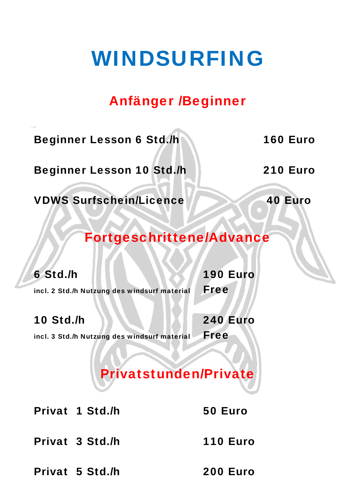## WINDSURFING

## Anfänger /Beginner

Beginner Lesson 6 Std./h 160 Euro

Beginner Lesson 10 Std./h 210 Euro

VDWS Surfschein/Licence 40 Euro

### Fortgeschrittene/Advance

6 Std./h 190 Euro

incl. 2 Std./h Nutzung des windsurf material Free

10 Std./h 240 Euro

incl. 3 Std./h Nutzung des windsurf material Free

## Privatstunden/Private

Privat 1 Std./h 50 Euro

Privat 3 Std./h 110 Euro

Privat 5 Std./h 200 Euro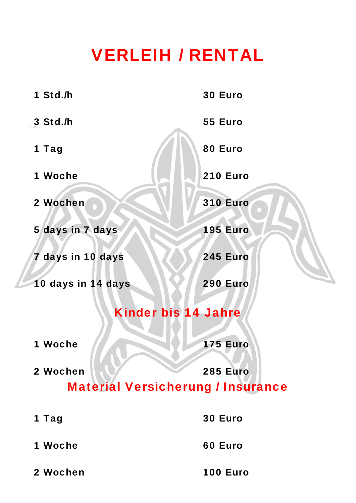## VERLEIH / RENTAL

| 1 Std./h                                             | 30 Euro         |
|------------------------------------------------------|-----------------|
| 3 Std./h                                             | 55 Euro         |
| 1 Tag                                                | 80 Euro         |
| 1 Woche                                              | <b>210 Euro</b> |
| 2 Wochen                                             | <b>310 Euro</b> |
| 5 days in 7 days                                     | <b>195 Euro</b> |
| 7 days in 10 days                                    | <b>245 Euro</b> |
| 10 days in 14 days                                   | 290 Euro        |
| <b>Kinder bis 14 Jahre</b>                           |                 |
| <b>Woche</b><br>1                                    | <b>175 Euro</b> |
| 2 Wochen<br><b>Material Versicherung / Insurance</b> | <b>285 Euro</b> |
| 1 Tag                                                | <b>30 Euro</b>  |
| 1 Woche                                              | 60 Euro         |
|                                                      |                 |

2 Wochen 100 Euro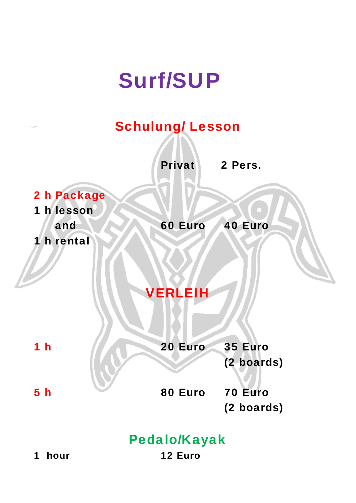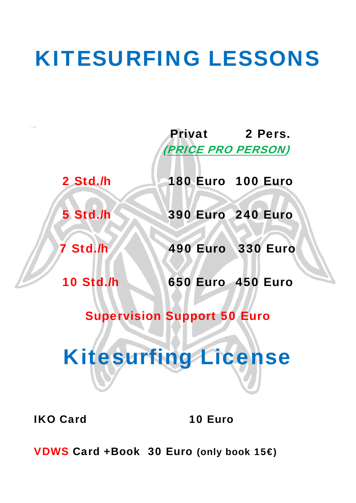## KITESURFING LESSONS

 Privat 2 Pers. (PRICE PRO PERSON)

2 Std./h 180 Euro 100 Euro

5 Std./h 390 Euro 240 Euro

**7 Std./h 490 Euro 330 Euro** 

10 Std./h 650 Euro 450 Euro

Supervision Support 50 Euro

# Kitesurfing License

IKO Card 10 Euro

VDWS Card +Book 30 Euro (only book 15€)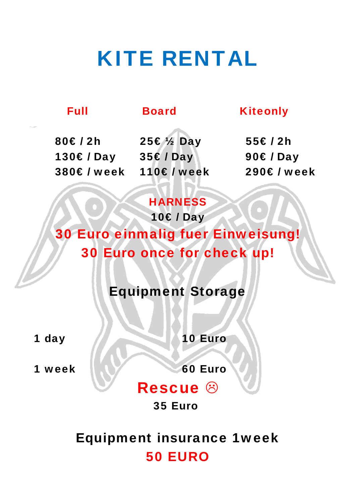## KITE RENTAL

### Full Board Kiteonly

80€ / 2h 25€ ½ Day 55€ / 2h 130€ / Day 35€ / Day 90€ / Day 380€ / week 110€ / week 290€ / week

### **HARNESS**

10€ / Day 30 Euro einmalig fuer Einweisung! 30 Euro once for check up!

Equipment Storage

1 day 10 Euro

1 week 1 1 1 60 Euro

## Rescue 8

### 35 Euro

Equipment insurance 1week 50 EURO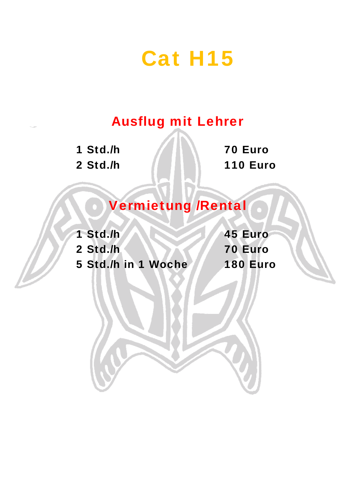## Cat H15

## Ausflug mit Lehrer

1 Std./h 70 Euro

2 Std./h 110 Euro

## Vermietung /Rental

1 Std./h 45 Euro 2 Std./h 70 Euro 5 Std./h in 1 Woche 180 Euro